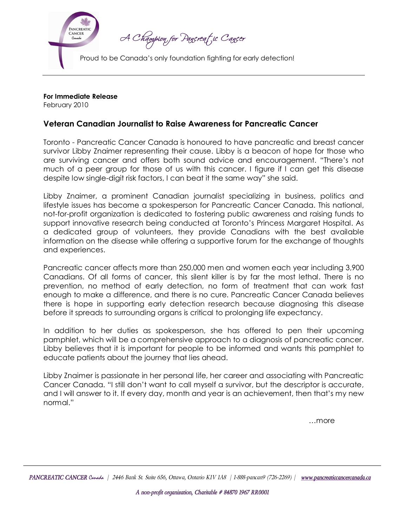

**For Immediate Release**

February 2010

## **Veteran Canadian Journalist to Raise Awareness for Pancreatic Cancer**

Toronto Pancreatic Cancer Canada is honoured to have pancreatic and breast cancer survivor Libby Znaimer representing their cause. Libby is a beacon of hope for those who are surviving cancer and offers both sound advice and encouragement. "There's not much of a peer group for those of us with this cancer. I figure if I can get this disease despite low single-digit risk factors, I can beat it the same way" she said.

Libby Znaimer, a prominent Canadian journalist specializing in business, politics and lifestyle issues has become a spokesperson for Pancreatic Cancer Canada. This national,<br>not-for-profit organization is dedicated to fostering public awareness and raising funds to support innovative research being conducted at Toronto's Princess Margaret Hospital. As a dedicated group of volunteers, they provide Canadians with the best available information on the disease while offering a supportive forum for the exchange of thoughts and experiences.

Pancreatic cancer affects more than 250,000 men and women each year including 3,900 Canadians. Of all forms of cancer, this silent killer is by far the most lethal. There is no prevention, no method of early detection, no form of treatment that can work fast enough to make a difference, and there is no cure. Pancreatic Cancer Canada believes there is hope in supporting early detection research because diagnosing this disease before it spreads to surrounding organs is critical to prolonging life expectancy.

In addition to her duties as spokesperson, she has offered to pen their upcoming pamphlet, which will be a comprehensive approach to a diagnosis of pancreatic cancer. Libby believes that it is important for people to be informed and wants this pamphlet to educate patients about the journey that lies ahead.

Libby Znaimer is passionate in her personal life, her career and associating with Pancreatic Cancer Canada. "I still don't want to call myself a survivor, but the descriptor is accurate,<br>and I will answer to it. If every day, month and year is an achievement, then that's my new normal."

…more